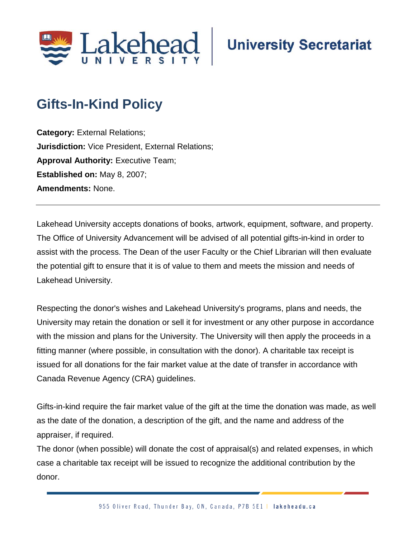

# **Gifts-In-Kind Policy**

**Category:** External Relations; **Jurisdiction:** Vice President, External Relations; **Approval Authority: Executive Team; Established on:** May 8, 2007; **Amendments:** None.

Lakehead University accepts donations of books, artwork, equipment, software, and property. The Office of University Advancement will be advised of all potential gifts-in-kind in order to assist with the process. The Dean of the user Faculty or the Chief Librarian will then evaluate the potential gift to ensure that it is of value to them and meets the mission and needs of Lakehead University.

Respecting the donor's wishes and Lakehead University's programs, plans and needs, the University may retain the donation or sell it for investment or any other purpose in accordance with the mission and plans for the University. The University will then apply the proceeds in a fitting manner (where possible, in consultation with the donor). A charitable tax receipt is issued for all donations for the fair market value at the date of transfer in accordance with Canada Revenue Agency (CRA) guidelines.

Gifts-in-kind require the fair market value of the gift at the time the donation was made, as well as the date of the donation, a description of the gift, and the name and address of the appraiser, if required.

The donor (when possible) will donate the cost of appraisal(s) and related expenses, in which case a charitable tax receipt will be issued to recognize the additional contribution by the donor.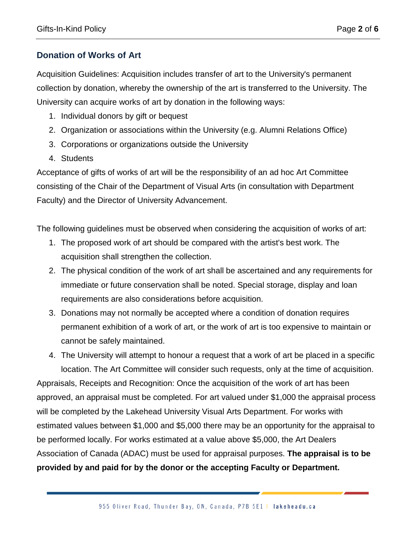## **Donation of Works of Art**

Acquisition Guidelines: Acquisition includes transfer of art to the University's permanent collection by donation, whereby the ownership of the art is transferred to the University. The University can acquire works of art by donation in the following ways:

- 1. Individual donors by gift or bequest
- 2. Organization or associations within the University (e.g. Alumni Relations Office)
- 3. Corporations or organizations outside the University
- 4. Students

Acceptance of gifts of works of art will be the responsibility of an ad hoc Art Committee consisting of the Chair of the Department of Visual Arts (in consultation with Department Faculty) and the Director of University Advancement.

The following guidelines must be observed when considering the acquisition of works of art:

- 1. The proposed work of art should be compared with the artist's best work. The acquisition shall strengthen the collection.
- 2. The physical condition of the work of art shall be ascertained and any requirements for immediate or future conservation shall be noted. Special storage, display and loan requirements are also considerations before acquisition.
- 3. Donations may not normally be accepted where a condition of donation requires permanent exhibition of a work of art, or the work of art is too expensive to maintain or cannot be safely maintained.

4. The University will attempt to honour a request that a work of art be placed in a specific location. The Art Committee will consider such requests, only at the time of acquisition. Appraisals, Receipts and Recognition: Once the acquisition of the work of art has been approved, an appraisal must be completed. For art valued under \$1,000 the appraisal process will be completed by the Lakehead University Visual Arts Department. For works with estimated values between \$1,000 and \$5,000 there may be an opportunity for the appraisal to be performed locally. For works estimated at a value above \$5,000, the Art Dealers Association of Canada (ADAC) must be used for appraisal purposes. **The appraisal is to be provided by and paid for by the donor or the accepting Faculty or Department.**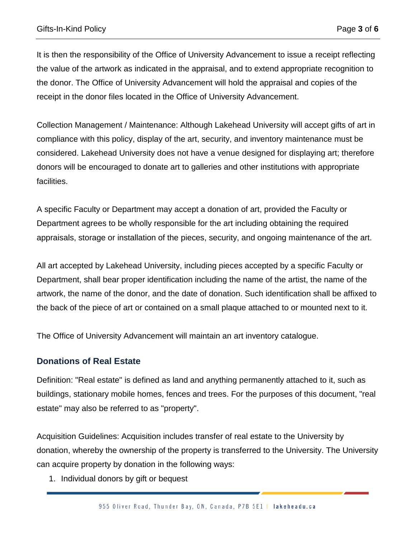It is then the responsibility of the Office of University Advancement to issue a receipt reflecting the value of the artwork as indicated in the appraisal, and to extend appropriate recognition to the donor. The Office of University Advancement will hold the appraisal and copies of the receipt in the donor files located in the Office of University Advancement.

Collection Management / Maintenance: Although Lakehead University will accept gifts of art in compliance with this policy, display of the art, security, and inventory maintenance must be considered. Lakehead University does not have a venue designed for displaying art; therefore donors will be encouraged to donate art to galleries and other institutions with appropriate facilities.

A specific Faculty or Department may accept a donation of art, provided the Faculty or Department agrees to be wholly responsible for the art including obtaining the required appraisals, storage or installation of the pieces, security, and ongoing maintenance of the art.

All art accepted by Lakehead University, including pieces accepted by a specific Faculty or Department, shall bear proper identification including the name of the artist, the name of the artwork, the name of the donor, and the date of donation. Such identification shall be affixed to the back of the piece of art or contained on a small plaque attached to or mounted next to it.

The Office of University Advancement will maintain an art inventory catalogue.

### **Donations of Real Estate**

Definition: "Real estate" is defined as land and anything permanently attached to it, such as buildings, stationary mobile homes, fences and trees. For the purposes of this document, "real estate" may also be referred to as "property".

Acquisition Guidelines: Acquisition includes transfer of real estate to the University by donation, whereby the ownership of the property is transferred to the University. The University can acquire property by donation in the following ways:

1. Individual donors by gift or bequest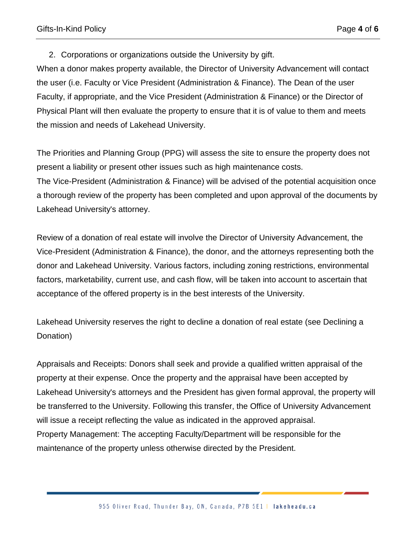2. Corporations or organizations outside the University by gift.

When a donor makes property available, the Director of University Advancement will contact the user (i.e. Faculty or Vice President (Administration & Finance). The Dean of the user Faculty, if appropriate, and the Vice President (Administration & Finance) or the Director of Physical Plant will then evaluate the property to ensure that it is of value to them and meets the mission and needs of Lakehead University.

The Priorities and Planning Group (PPG) will assess the site to ensure the property does not present a liability or present other issues such as high maintenance costs. The Vice-President (Administration & Finance) will be advised of the potential acquisition once a thorough review of the property has been completed and upon approval of the documents by Lakehead University's attorney.

Review of a donation of real estate will involve the Director of University Advancement, the Vice-President (Administration & Finance), the donor, and the attorneys representing both the donor and Lakehead University. Various factors, including zoning restrictions, environmental factors, marketability, current use, and cash flow, will be taken into account to ascertain that acceptance of the offered property is in the best interests of the University.

Lakehead University reserves the right to decline a donation of real estate (see Declining a Donation)

Appraisals and Receipts: Donors shall seek and provide a qualified written appraisal of the property at their expense. Once the property and the appraisal have been accepted by Lakehead University's attorneys and the President has given formal approval, the property will be transferred to the University. Following this transfer, the Office of University Advancement will issue a receipt reflecting the value as indicated in the approved appraisal. Property Management: The accepting Faculty/Department will be responsible for the maintenance of the property unless otherwise directed by the President.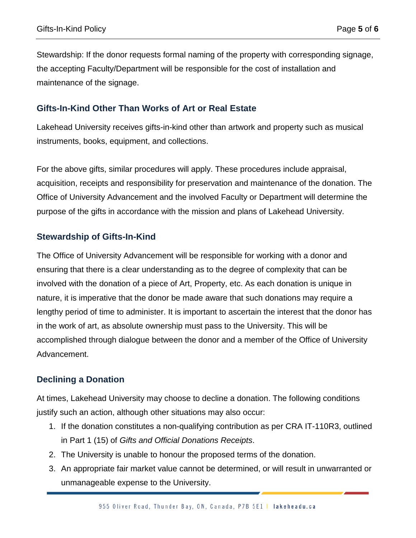Stewardship: If the donor requests formal naming of the property with corresponding signage, the accepting Faculty/Department will be responsible for the cost of installation and maintenance of the signage.

#### **Gifts-In-Kind Other Than Works of Art or Real Estate**

Lakehead University receives gifts-in-kind other than artwork and property such as musical instruments, books, equipment, and collections.

For the above gifts, similar procedures will apply. These procedures include appraisal, acquisition, receipts and responsibility for preservation and maintenance of the donation. The Office of University Advancement and the involved Faculty or Department will determine the purpose of the gifts in accordance with the mission and plans of Lakehead University.

#### **Stewardship of Gifts-In-Kind**

The Office of University Advancement will be responsible for working with a donor and ensuring that there is a clear understanding as to the degree of complexity that can be involved with the donation of a piece of Art, Property, etc. As each donation is unique in nature, it is imperative that the donor be made aware that such donations may require a lengthy period of time to administer. It is important to ascertain the interest that the donor has in the work of art, as absolute ownership must pass to the University. This will be accomplished through dialogue between the donor and a member of the Office of University Advancement.

### **Declining a Donation**

At times, Lakehead University may choose to decline a donation. The following conditions justify such an action, although other situations may also occur:

- 1. If the donation constitutes a non-qualifying contribution as per CRA IT-110R3, outlined in Part 1 (15) of *Gifts and Official Donations Receipts*.
- 2. The University is unable to honour the proposed terms of the donation.
- 3. An appropriate fair market value cannot be determined, or will result in unwarranted or unmanageable expense to the University.